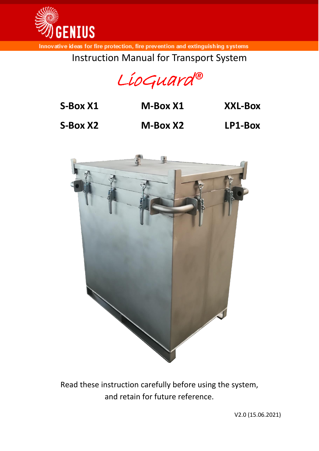

Instruction Manual for Transport System

LioGuard*®*

| S-Box X1 | M-Box X1 | <b>XXL-Box</b> |
|----------|----------|----------------|
| S-Box X2 | M-Box X2 | LP1-Box        |



Read these instruction carefully before using the system, and retain for future reference.

V2.0 (15.06.2021)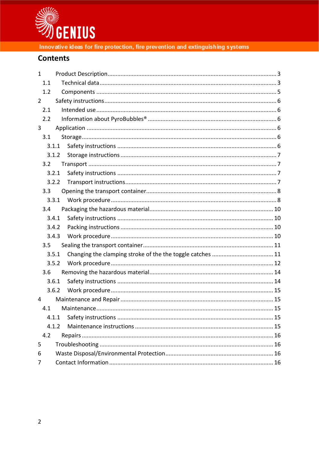

# **Contents**

| $\mathbf{1}$   |  |
|----------------|--|
| 1.1            |  |
| 1.2            |  |
| $\overline{2}$ |  |
| 2.1            |  |
| 2.2            |  |
| 3              |  |
| 3.1            |  |
| 3.1.1          |  |
| 3.1.2          |  |
| 3.2            |  |
| 3.2.1          |  |
| 3.2.2          |  |
| 3.3            |  |
| 3.3.1          |  |
| 3.4            |  |
| 3.4.1          |  |
| 3.4.2          |  |
| 3.4.3          |  |
| 3.5            |  |
| 3.5.1          |  |
| 3.5.2          |  |
| 3.6            |  |
| 3.6.1          |  |
| 3.6.2          |  |
| 4              |  |
| 4.1            |  |
| 4.1.1          |  |
| 4.1.2          |  |
| 4.2            |  |
| 5              |  |
| 6              |  |
| 7              |  |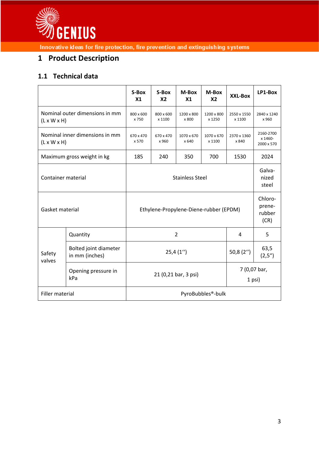

# <span id="page-2-0"></span>**1 Product Description**

# <span id="page-2-1"></span>**1.1 Technical data**

|                                                           |                                         | S-Box<br>X <sub>1</sub>                        | S-Box<br>X <sub>2</sub>             | M-Box<br>X <sub>1</sub> | M-Box<br>X2          | XXL-Box               | LP1-Box                            |  |
|-----------------------------------------------------------|-----------------------------------------|------------------------------------------------|-------------------------------------|-------------------------|----------------------|-----------------------|------------------------------------|--|
| Nominal outer dimensions in mm<br>$(L \times W \times H)$ |                                         | 800 x 600<br>x 750                             | 800 x 600<br>x 1100                 | 1200 x 800<br>x 800     | 1200 x 800<br>x 1250 | 2550 x 1550<br>x 1100 | 2840 x 1240<br>x 960               |  |
| Nominal inner dimensions in mm<br>$(L \times W \times H)$ |                                         | 670 x 470<br>x 570                             | 670 x 470<br>x 960                  | 1070 x 670<br>x 640     | 1070 x 670<br>x 1100 | 2370 x 1360<br>x 840  | 2160-2700<br>x 1460-<br>2000 x 570 |  |
| Maximum gross weight in kg                                |                                         | 185                                            | 240                                 | 350                     | 700                  | 1530                  | 2024                               |  |
| Container material                                        |                                         | <b>Stainless Steel</b>                         |                                     |                         |                      |                       | Galva-<br>nized<br>steel           |  |
| Gasket material                                           |                                         | Ethylene-Propylene-Diene-rubber (EPDM)         | Chloro-<br>prene-<br>rubber<br>(CR) |                         |                      |                       |                                    |  |
| Safety<br>valves                                          | Quantity                                | $\overline{2}$<br>4                            |                                     |                         |                      |                       | 5                                  |  |
|                                                           | Bolted joint diameter<br>in mm (inches) | 50,8 $(2'')$<br>25,4(1'')                      |                                     |                         |                      |                       | 63,5<br>(2,5'')                    |  |
|                                                           | Opening pressure in<br>kPa              | 7 (0,07 bar,<br>21 (0,21 bar, 3 psi)<br>1 psi) |                                     |                         |                      |                       |                                    |  |
| Filler material                                           |                                         | PyroBubbles®-bulk                              |                                     |                         |                      |                       |                                    |  |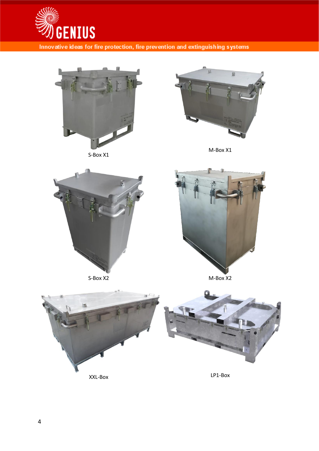



S-Box X1



M-Box X1





S-Box X2 M-Box X2

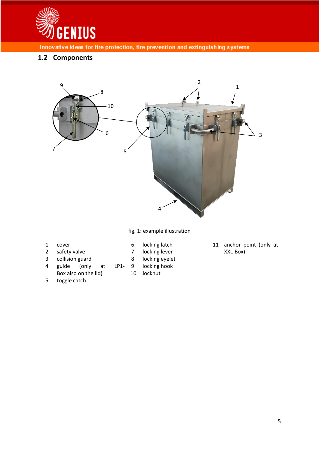

## <span id="page-4-0"></span>**1.2 Components**



fig. 1: example illustration

cover

- locking latch
	- locking lever
	- locking eyelet
	- locking hook
	- locknut

 anchor point (only at XXL-Box)

Box also on the lid) toggle catch

guide (only at LP1-

 safety valve collision guard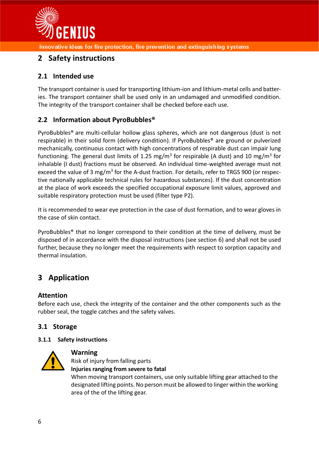

# <span id="page-5-0"></span>**2 Safety instructions**

## <span id="page-5-1"></span>**2.1 Intended use**

The transport container is used for transporting lithium-ion and lithium-metal cells and batteries. The transport container shall be used only in an undamaged and unmodified condition. The integrity of the transport container shall be checked before each use.

## <span id="page-5-2"></span>**2.2 Information about PyroBubbles®**

PyroBubbles® are multi-cellular hollow glass spheres, which are not dangerous (dust is not respirable) in their solid form (delivery condition). If PyroBubbles® are ground or pulverized mechanically, continuous contact with high concentrations of respirable dust can impair lung functioning. The general dust limits of 1.25 mg/m<sup>3</sup> for respirable (A dust) and 10 mg/m<sup>3</sup> for inhalable (I dust) fractions must be observed. An individual time-weighted average must not exceed the value of 3 mg/m<sup>3</sup> for the A-dust fraction. For details, refer to TRGS 900 (or respective nationally applicable technical rules for hazardous substances). If the dust concentration at the place of work exceeds the specified occupational exposure limit values, approved and suitable respiratory protection must be used (filter type P2).

It is recommended to wear eye protection in the case of dust formation, and to wear gloves in the case of skin contact.

PyroBubbles® that no longer correspond to their condition at the time of delivery, must be disposed of in accordance with the disposal instructions (see section [6\)](#page-15-2) and shall not be used further, because they no longer meet the requirements with respect to sorption capacity and thermal insulation.

# <span id="page-5-3"></span>**3 Application**

### **Attention**

Before each use, check the integrity of the container and the other components such as the rubber seal, the toggle catches and the safety valves.

## <span id="page-5-4"></span>**3.1 Storage**

#### <span id="page-5-5"></span>**3.1.1 Safety instructions**



#### **Warning**

Risk of injury from falling parts **Injuries ranging from severe to fatal**

When moving transport containers, use only suitable lifting gear attached to the designated lifting points. No person must be allowed to linger within the working area of the of the lifting gear.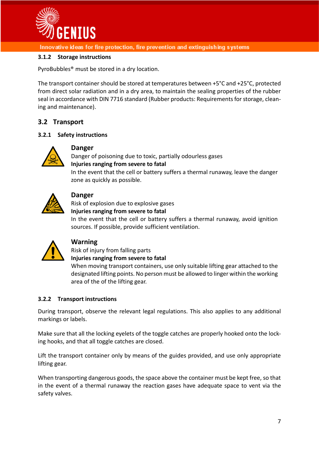

#### <span id="page-6-0"></span>**3.1.2 Storage instructions**

PyroBubbles® must be stored in a dry location.

The transport container should be stored at temperatures between +5°C and +25°C, protected from direct solar radiation and in a dry area, to maintain the sealing properties of the rubber seal in accordance with DIN 7716 standard (Rubber products: Requirements for storage, cleaning and maintenance).

### <span id="page-6-1"></span>**3.2 Transport**

#### <span id="page-6-2"></span>**3.2.1 Safety instructions**



#### **Danger**

Danger of poisoning due to toxic, partially odourless gases **Injuries ranging from severe to fatal** In the event that the cell or battery suffers a thermal runaway, leave the danger zone as quickly as possible.



### **Danger**

Risk of explosion due to explosive gases

### **Injuries ranging from severe to fatal**

In the event that the cell or battery suffers a thermal runaway, avoid ignition sources. If possible, provide sufficient ventilation.



#### **Warning**

Risk of injury from falling parts

**Injuries ranging from severe to fatal**

When moving transport containers, use only suitable lifting gear attached to the designated lifting points. No person must be allowed to linger within the working area of the of the lifting gear.

#### <span id="page-6-3"></span>**3.2.2 Transport instructions**

During transport, observe the relevant legal regulations. This also applies to any additional markings or labels.

Make sure that all the locking eyelets of the toggle catches are properly hooked onto the locking hooks, and that all toggle catches are closed.

Lift the transport container only by means of the guides provided, and use only appropriate lifting gear.

When transporting dangerous goods, the space above the container must be kept free, so that in the event of a thermal runaway the reaction gases have adequate space to vent via the safety valves.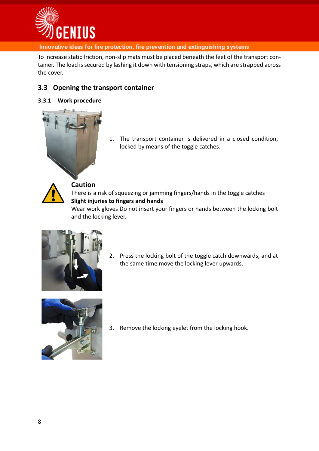

To increase static friction, non-slip mats must be placed beneath the feet of the transport container. The load is secured by lashing it down with tensioning straps, which are strapped across the cover.

## <span id="page-7-0"></span>**3.3 Opening the transport container**

#### <span id="page-7-1"></span>**3.3.1 Work procedure**



1. The transport container is delivered in a closed condition, locked by means of the toggle catches.

There is a risk of squeezing or jamming fingers/hands in the toggle catches **Slight injuries to fingers and hands**

Wear work gloves Do not insert your fingers or hands between the locking bolt and the locking lever.



2. Press the locking bolt of the toggle catch downwards, and at the same time move the locking lever upwards.



3. Remove the locking eyelet from the locking hook.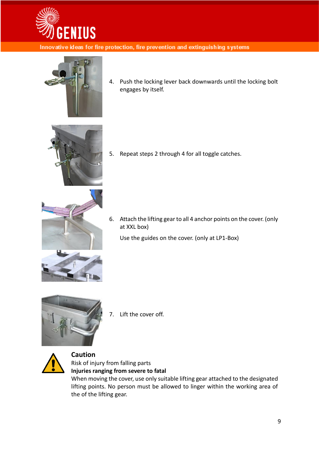



4. Push the locking lever back downwards until the locking bolt engages by itself.



5. Repeat steps 2 through 4 for all toggle catches.



6. Attach the lifting gear to all 4 anchor points on the cover. (only at XXL box)

Use the guides on the cover. (only at LP1-Box)



7. Lift the cover off.



### **Caution** Risk of injury from falling parts **Injuries ranging from severe to fatal**

<span id="page-8-0"></span>When moving the cover, use only suitable lifting gear attached to the designated lifting points. No person must be allowed to linger within the working area of the of the lifting gear.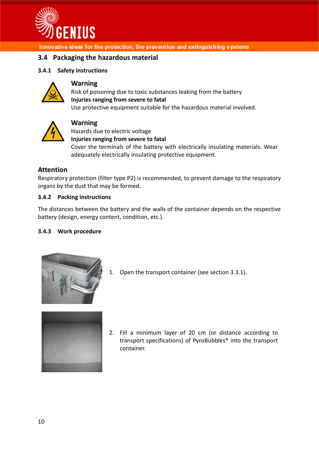

### **3.4 Packaging the hazardous material**

#### <span id="page-9-0"></span>**3.4.1 Safety instructions**



#### **Warning**

Risk of poisoning due to toxic substances leaking from the battery **Injuries ranging from severe to fatal** Use protective equipment suitable for the hazardous material involved.



#### **Warning**

Hazards due to electric voltage **Injuries ranging from severe to fatal** Cover the terminals of the battery with electrically insulating materials. Wear adequately electrically insulating protective equipment.

#### **Attention**

Respiratory protection (filter type P2) is recommended, to prevent damage to the respiratory organs by the dust that may be formed.

#### <span id="page-9-1"></span>**3.4.2 Packing instructions**

The distances between the battery and the walls of the container depends on the respective battery (design, energy content, condition, etc.).

#### <span id="page-9-2"></span>**3.4.3 Work procedure**



1. Open the transport container (see section [3.3.1\)](#page-7-1).



2. Fill a minimum layer of 20 cm (or distance according to transport specifications) of PyroBubbles® into the transport container.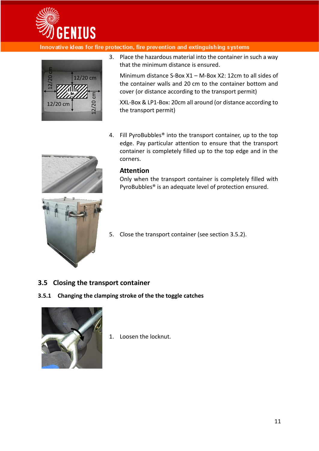



3. Place the hazardous material into the container in such a way that the minimum distance is ensured.

Minimum distance S-Box X1 – M-Box X2: 12cm to all sides of the container walls and 20 cm to the container bottom and cover (or distance according to the transport permit)

XXL-Box & LP1-Box: 20cm all around (or distance according to the transport permit)

4. Fill PyroBubbles® into the transport container, up to the top edge. Pay particular attention to ensure that the transport container is completely filled up to the top edge and in the corners.

#### **Attention**

Only when the transport container is completely filled with PyroBubbles® is an adequate level of protection ensured.



5. Close the transport container (see section [3.5.2\)](#page-11-0).

### <span id="page-10-0"></span>**3.5 Closing the transport container**

#### <span id="page-10-1"></span>**3.5.1 Changing the clamping stroke of the the toggle catches**



1. Loosen the locknut.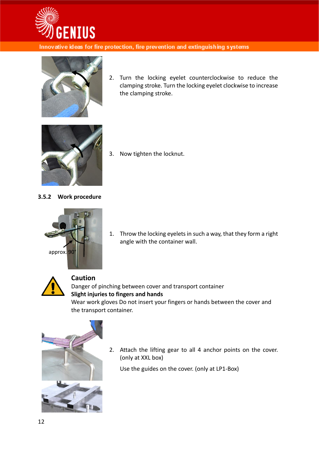



2. Turn the locking eyelet counterclockwise to reduce the clamping stroke. Turn the locking eyelet clockwise to increase the clamping stroke.



3. Now tighten the locknut.

#### <span id="page-11-0"></span>**3.5.2 Work procedure**



1. Throw the locking eyelets in such a way, that they form a right angle with the container wall.



# **Caution**

Danger of pinching between cover and transport container **Slight injuries to fingers and hands** Wear work gloves Do not insert your fingers or hands between the cover and the transport container.



2. Attach the lifting gear to all 4 anchor points on the cover. (only at XXL box)

Use the guides on the cover. (only at LP1-Box)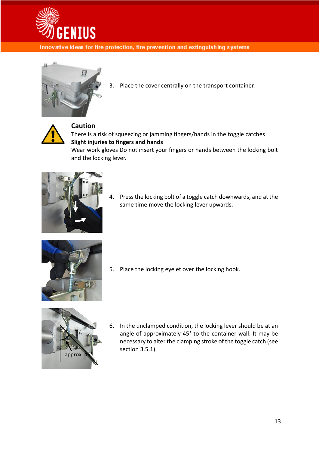



3. Place the cover centrally on the transport container.



## **Caution**

There is a risk of squeezing or jamming fingers/hands in the toggle catches **Slight injuries to fingers and hands**

Wear work gloves Do not insert your fingers or hands between the locking bolt and the locking lever.



4. Press the locking bolt of a toggle catch downwards, and at the same time move the locking lever upwards.



5. Place the locking eyelet over the locking hook.



6. In the unclamped condition, the locking lever should be at an angle of approximately 45° to the container wall. It may be necessary to alter the clamping stroke of the toggle catch (see section [3.5.1\)](#page-10-1).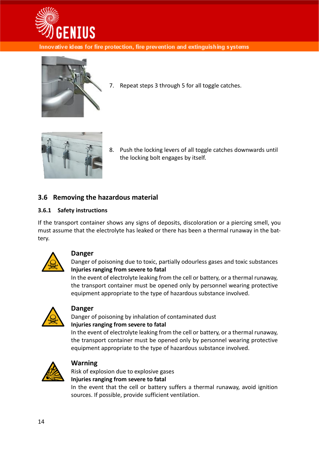



7. Repeat steps 3 through 5 for all toggle catches.



8. Push the locking levers of all toggle catches downwards until the locking bolt engages by itself.

## <span id="page-13-0"></span>**3.6 Removing the hazardous material**

#### <span id="page-13-1"></span>**3.6.1 Safety instructions**

If the transport container shows any signs of deposits, discoloration or a piercing smell, you must assume that the electrolyte has leaked or there has been a thermal runaway in the battery.



#### **Danger**

Danger of poisoning due to toxic, partially odourless gases and toxic substances **Injuries ranging from severe to fatal**

In the event of electrolyte leaking from the cell or battery, or a thermal runaway, the transport container must be opened only by personnel wearing protective equipment appropriate to the type of hazardous substance involved.



#### **Danger**

Danger of poisoning by inhalation of contaminated dust **Injuries ranging from severe to fatal**

In the event of electrolyte leaking from the cell or battery, or a thermal runaway, the transport container must be opened only by personnel wearing protective equipment appropriate to the type of hazardous substance involved.



#### **Warning**

Risk of explosion due to explosive gases **Injuries ranging from severe to fatal**

In the event that the cell or battery suffers a thermal runaway, avoid ignition sources. If possible, provide sufficient ventilation.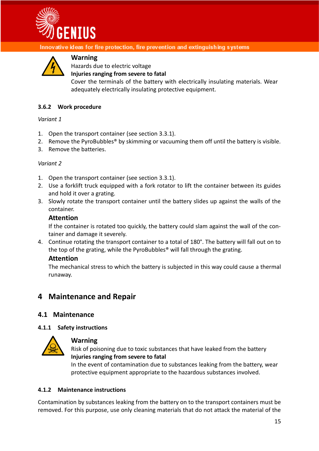



### **Warning**

Hazards due to electric voltage

**Injuries ranging from severe to fatal**

Cover the terminals of the battery with electrically insulating materials. Wear adequately electrically insulating protective equipment.

#### <span id="page-14-0"></span>**3.6.2 Work procedure**

*Variant 1*

- 1. Open the transport container (see section [3.3.1\)](#page-7-1).
- 2. Remove the PyroBubbles<sup>®</sup> by skimming or vacuuming them off until the battery is visible.
- 3. Remove the batteries.

#### *Variant 2*

- 1. Open the transport container (see section [3.3.1\)](#page-7-1).
- 2. Use a forklift truck equipped with a fork rotator to lift the container between its guides and hold it over a grating.
- 3. Slowly rotate the transport container until the battery slides up against the walls of the container.

#### **Attention**

If the container is rotated too quickly, the battery could slam against the wall of the container and damage it severely.

4. Continue rotating the transport container to a total of 180°. The battery will fall out on to the top of the grating, while the PyroBubbles® will fall through the grating.

#### **Attention**

The mechanical stress to which the battery is subjected in this way could cause a thermal runaway.

## <span id="page-14-1"></span>**4 Maintenance and Repair**

#### <span id="page-14-2"></span>**4.1 Maintenance**

#### <span id="page-14-3"></span>**4.1.1 Safety instructions**



#### **Warning**

Risk of poisoning due to toxic substances that have leaked from the battery **Injuries ranging from severe to fatal**

In the event of contamination due to substances leaking from the battery, wear protective equipment appropriate to the hazardous substances involved.

#### <span id="page-14-4"></span>**4.1.2 Maintenance instructions**

Contamination by substances leaking from the battery on to the transport containers must be removed. For this purpose, use only cleaning materials that do not attack the material of the